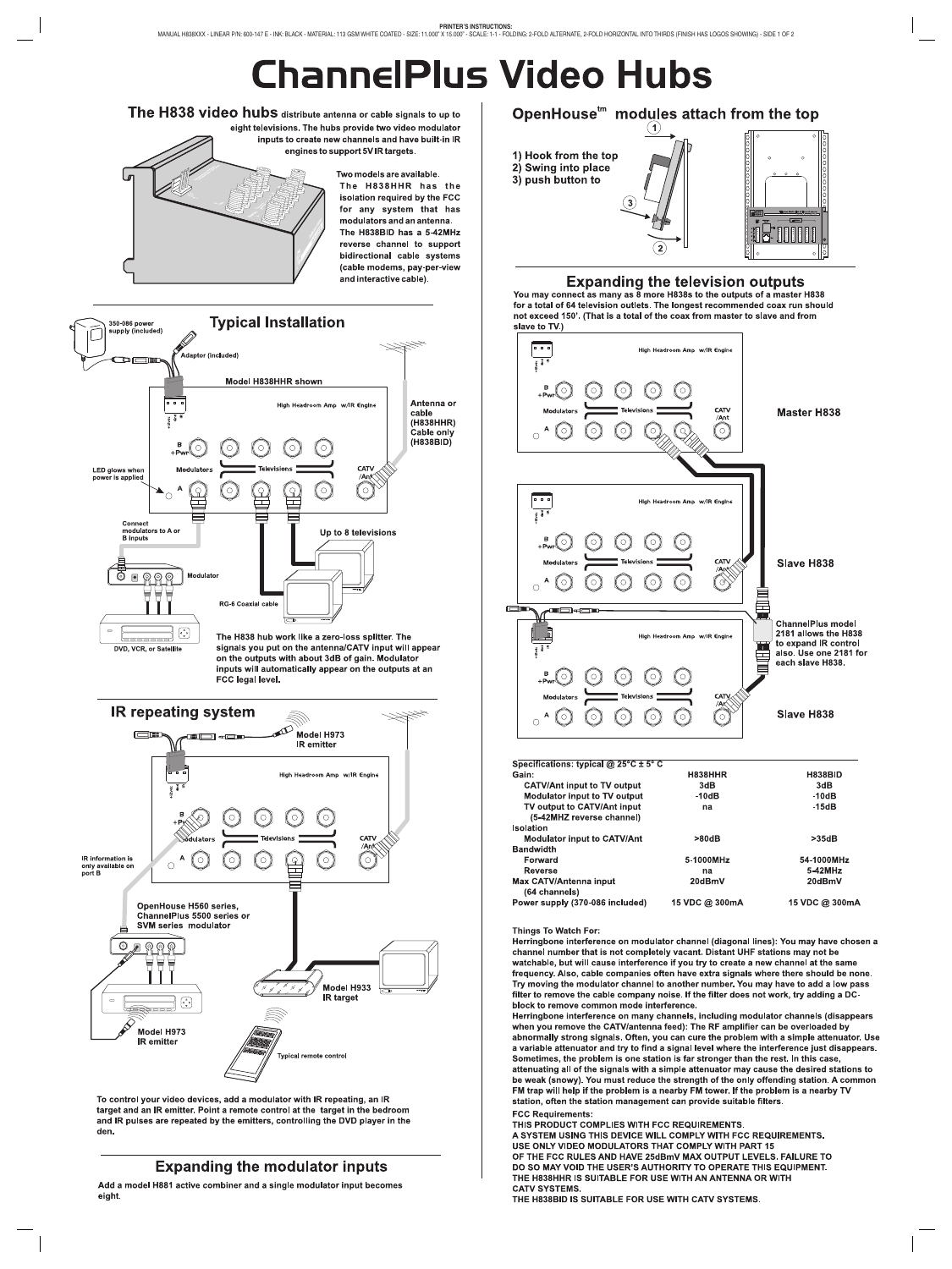# **ChannelPlus Video Hubs**

The H838 video hubs distribute antenna or cable signals to up to eight televisions. The hubs provide two video modulator inputs to create new channels and have built-in IR engines to support 5V IR targets. Two models are available. The H838HHR has the isolation required by the FCC for any system that has modulators and an antenna. The H838BID has a 5-42MHz reverse channel to support bidirectional cable systems (cable modems, pay-per-view and interactive cable).





To control your video devices, add a modulator with IR repeating, an IR target and an IR emitter. Point a remote control at the target in the bedroom and IR pulses are repeated by the emitters, controlling the DVD player in the den.

#### **Expanding the modulator inputs**

Add a model H881 active combiner and a single modulator input becomes eight.

OpenHouse<sup>tm</sup> modules attach from the top  $\mathbf{(1)}$ 1) Hook from the top 2) Swing into place 3) push button to  $\left( 3\right)$ 

#### **Expanding the television outputs**

You may connect as many as 8 more H838s to the outputs of a master H838 for a total of 64 television outlets. The longest recommended coax run should not exceed 150'. (That is a total of the coax from master to slave and from slave to TV.)



(64 channels) Power supply (370-086 included) 15 VDC @ 300mA 15 VDC @ 300mA

#### Things To Watch For:

Herringbone interference on modulator channel (diagonal lines): You may have chosen a channel number that is not completely vacant. Distant UHF stations may not be watchable, but will cause interference if you try to create a new channel at the same frequency. Also, cable companies often have extra signals where there should be none. Try moving the modulator channel to another number. You may have to add a low pass filter to remove the cable company noise. If the filter does not work, try adding a DCblock to remove common mode interference.

Herringbone interference on many channels, including modulator channels (disappears when you remove the CATV/antenna feed): The RF amplifier can be overloaded by abnormally strong signals. Often, you can cure the problem with a simple attenuator. Use a variable attenuator and try to find a signal level where the interference just disappears. Sometimes, the problem is one station is far stronger than the rest. In this case, attenuating all of the signals with a simple attenuator may cause the desired stations to be weak (snowy). You must reduce the strength of the only offending station. A common FM trap will help if the problem is a nearby FM tower. If the problem is a nearby TV station, often the station management can provide suitable filters.

**FCC Requirements:** THIS PRODUCT COMPLIES WITH FCC REQUIREMENTS. A SYSTEM USING THIS DEVICE WILL COMPLY WITH FCC REQUIREMENTS. USE ONLY VIDEO MODULATORS THAT COMPLY WITH PART 15 OF THE FCC RULES AND HAVE 25dBmV MAX OUTPUT LEVELS. FAILURE TO DO SO MAY VOID THE USER'S AUTHORITY TO OPERATE THIS EQUIPMENT. THE H838HHR IS SUITABLE FOR USE WITH AN ANTENNA OR WITH **CATV SYSTEMS** 

THE H838BID IS SUITABLE FOR USE WITH CATV SYSTEMS.